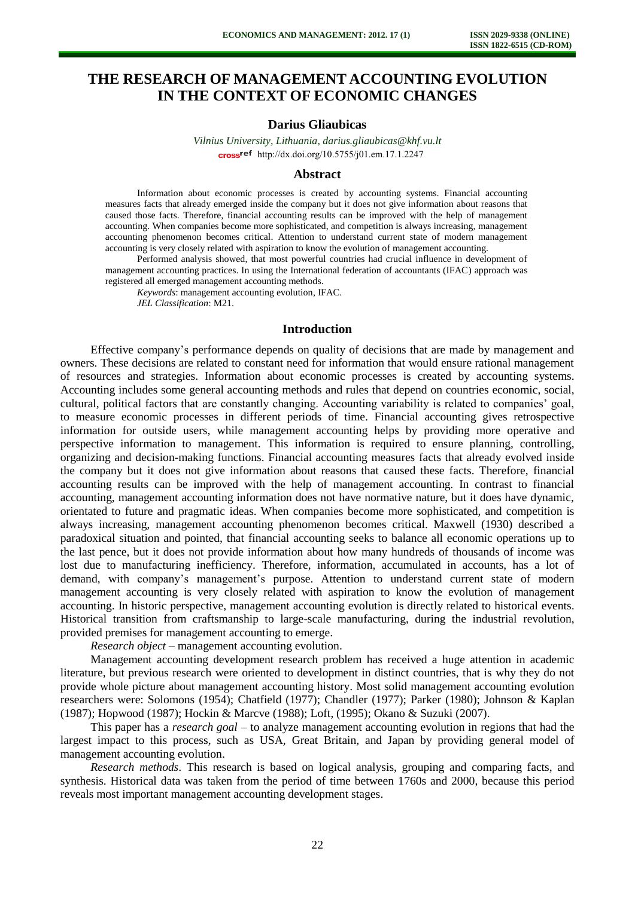# **THE RESEARCH OF MANAGEMENT ACCOUNTING EVOLUTION IN THE CONTEXT OF ECONOMIC CHANGES**

## **Darius Gliaubicas**

*Vilnius University, Lithuania, [darius.gliaubicas@khf.vu.lt](mailto:darius.gliaubicas@khf.vu.lt)* cross<sup>ref</sup> [http://dx.doi.org/10.5755/j01.e](http://dx.doi.org/10.5755/j01.em.17.1.2247)m.17.1.2247

## **Abstract**

Information about economic processes is created by accounting systems. Financial accounting measures facts that already emerged inside the company but it does not give information about reasons that caused those facts. Therefore, financial accounting results can be improved with the help of management accounting. When companies become more sophisticated, and competition is always increasing, management accounting phenomenon becomes critical. Attention to understand current state of modern management accounting is very closely related with aspiration to know the evolution of management accounting.

Performed analysis showed, that most powerful countries had crucial influence in development of management accounting practices. In using the International federation of accountants (IFAC) approach was registered all emerged management accounting methods.

*Keywords*: management accounting evolution, IFAC. *JEL Classification*: M21.

# **Introduction**

Effective company's performance depends on quality of decisions that are made by management and owners. These decisions are related to constant need for information that would ensure rational management of resources and strategies. Information about economic processes is created by accounting systems. Accounting includes some general accounting methods and rules that depend on countries economic, social, cultural, political factors that are constantly changing. Accounting variability is related to companies' goal, to measure economic processes in different periods of time. Financial accounting gives retrospective information for outside users, while management accounting helps by providing more operative and perspective information to management. This information is required to ensure planning, controlling, organizing and decision-making functions. Financial accounting measures facts that already evolved inside the company but it does not give information about reasons that caused these facts. Therefore, financial accounting results can be improved with the help of management accounting. In contrast to financial accounting, management accounting information does not have normative nature, but it does have dynamic, orientated to future and pragmatic ideas. When companies become more sophisticated, and competition is always increasing, management accounting phenomenon becomes critical. Maxwell (1930) described a paradoxical situation and pointed, that financial accounting seeks to balance all economic operations up to the last pence, but it does not provide information about how many hundreds of thousands of income was lost due to manufacturing inefficiency. Therefore, information, accumulated in accounts, has a lot of demand, with company's management's purpose. Attention to understand current state of modern management accounting is very closely related with aspiration to know the evolution of management accounting. In historic perspective, management accounting evolution is directly related to historical events. Historical transition from craftsmanship to large-scale manufacturing, during the industrial revolution, provided premises for management accounting to emerge.

*Research object* – management accounting evolution.

Management accounting development research problem has received a huge attention in academic literature, but previous research were oriented to development in distinct countries, that is why they do not provide whole picture about management accounting history. Most solid management accounting evolution researchers were: Solomons (1954); Chatfield (1977); Chandler (1977); Parker (1980); Johnson & Kaplan (1987); Hopwood (1987); Hockin & Marcve (1988); Loft, (1995); Okano & Suzuki (2007).

This paper has a *research goal –* to analyze management accounting evolution in regions that had the largest impact to this process, such as USA, Great Britain, and Japan by providing general model of management accounting evolution.

*Research methods*. This research is based on logical analysis, grouping and comparing facts, and synthesis. Historical data was taken from the period of time between 1760s and 2000, because this period reveals most important management accounting development stages.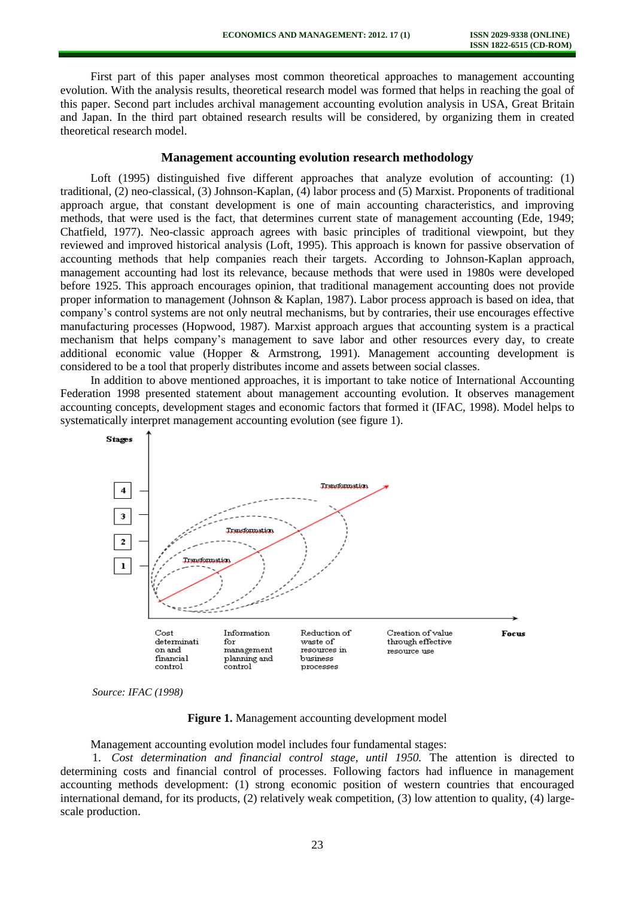First part of this paper analyses most common theoretical approaches to management accounting evolution. With the analysis results, theoretical research model was formed that helps in reaching the goal of this paper. Second part includes archival management accounting evolution analysis in USA, Great Britain and Japan. In the third part obtained research results will be considered, by organizing them in created theoretical research model.

## **Management accounting evolution research methodology**

Loft (1995) distinguished five different approaches that analyze evolution of accounting: (1) traditional, (2) neo-classical, (3) Johnson-Kaplan, (4) labor process and (5) Marxist. Proponents of traditional approach argue, that constant development is one of main accounting characteristics, and improving methods, that were used is the fact, that determines current state of management accounting (Ede, 1949; Chatfield, 1977). Neo-classic approach agrees with basic principles of traditional viewpoint, but they reviewed and improved historical analysis (Loft, 1995). This approach is known for passive observation of accounting methods that help companies reach their targets. According to Johnson-Kaplan approach, management accounting had lost its relevance, because methods that were used in 1980s were developed before 1925. This approach encourages opinion, that traditional management accounting does not provide proper information to management (Johnson & Kaplan, 1987). Labor process approach is based on idea, that company's control systems are not only neutral mechanisms, but by contraries, their use encourages effective manufacturing processes (Hopwood, 1987). Marxist approach argues that accounting system is a practical mechanism that helps company's management to save labor and other resources every day, to create additional economic value (Hopper & Armstrong, 1991). Management accounting development is considered to be a tool that properly distributes income and assets between social classes.

In addition to above mentioned approaches, it is important to take notice of International Accounting Federation 1998 presented statement about management accounting evolution. It observes management accounting concepts, development stages and economic factors that formed it (IFAC, 1998). Model helps to systematically interpret management accounting evolution (see figure 1).



*Source: IFAC (1998)* 

**Figure 1.** Management accounting development model

#### Management accounting evolution model includes four fundamental stages:

1. *Cost determination and financial control stage, until 1950.* The attention is directed to determining costs and financial control of processes. Following factors had influence in management accounting methods development: (1) strong economic position of western countries that encouraged international demand, for its products, (2) relatively weak competition, (3) low attention to quality, (4) largescale production.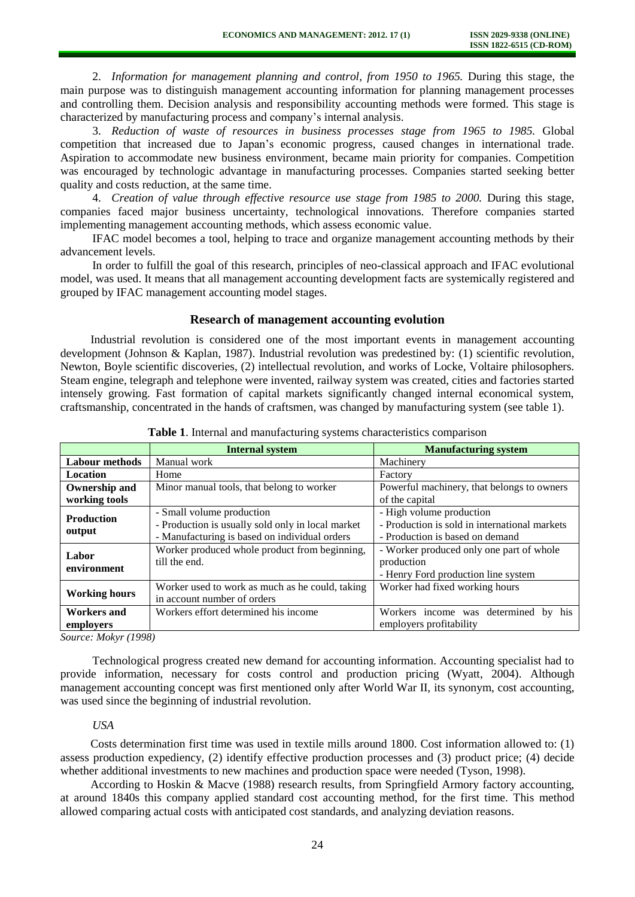2. *Information for management planning and control, from 1950 to 1965.* During this stage, the main purpose was to distinguish management accounting information for planning management processes and controlling them. Decision analysis and responsibility accounting methods were formed. This stage is characterized by manufacturing process and company's internal analysis.

3. *Reduction of waste of resources in business processes stage from 1965 to 1985.* Global competition that increased due to Japan's economic progress, caused changes in international trade. Aspiration to accommodate new business environment, became main priority for companies. Competition was encouraged by technologic advantage in manufacturing processes. Companies started seeking better quality and costs reduction, at the same time.

4. *Creation of value through effective resource use stage from 1985 to 2000.* During this stage, companies faced major business uncertainty, technological innovations. Therefore companies started implementing management accounting methods, which assess economic value.

IFAC model becomes a tool, helping to trace and organize management accounting methods by their advancement levels.

In order to fulfill the goal of this research, principles of neo-classical approach and IFAC evolutional model, was used. It means that all management accounting development facts are systemically registered and grouped by IFAC management accounting model stages.

#### **Research of management accounting evolution**

Industrial revolution is considered one of the most important events in management accounting development (Johnson & Kaplan, 1987). Industrial revolution was predestined by: (1) scientific revolution, Newton, Boyle scientific discoveries, (2) intellectual revolution, and works of Locke, Voltaire philosophers. Steam engine, telegraph and telephone were invented, railway system was created, cities and factories started intensely growing. Fast formation of capital markets significantly changed internal economical system, craftsmanship, concentrated in the hands of craftsmen, was changed by manufacturing system (see table 1).

|                                                            | <b>Internal system</b>                            | <b>Manufacturing system</b>                   |  |
|------------------------------------------------------------|---------------------------------------------------|-----------------------------------------------|--|
| Manual work<br><b>Labour</b> methods                       |                                                   | Machinery                                     |  |
| Location<br>Home                                           |                                                   | Factory                                       |  |
| <b>Ownership and</b>                                       | Minor manual tools, that belong to worker         | Powerful machinery, that belongs to owners    |  |
| working tools                                              |                                                   | of the capital                                |  |
| <b>Production</b>                                          | - Small volume production                         | - High volume production                      |  |
|                                                            | - Production is usually sold only in local market | - Production is sold in international markets |  |
| output                                                     | - Manufacturing is based on individual orders     | - Production is based on demand               |  |
| Labor                                                      | Worker produced whole product from beginning,     | - Worker produced only one part of whole      |  |
| environment                                                | till the end.                                     | production                                    |  |
|                                                            |                                                   | - Henry Ford production line system           |  |
|                                                            | Worker used to work as much as he could, taking   | Worker had fixed working hours                |  |
| <b>Working hours</b>                                       | in account number of orders                       |                                               |  |
| Workers effort determined his income<br><b>Workers and</b> |                                                   | Workers income was determined<br>his<br>by    |  |
| employers                                                  |                                                   | employers profitability                       |  |

**Table 1**. Internal and manufacturing systems characteristics comparison

*Source: Mokyr (1998)* 

Technological progress created new demand for accounting information. Accounting specialist had to provide information, necessary for costs control and production pricing (Wyatt, 2004). Although management accounting concept was first mentioned only after World War II, its synonym, cost accounting, was used since the beginning of industrial revolution.

### *USA*

Costs determination first time was used in textile mills around 1800. Cost information allowed to: (1) assess production expediency, (2) identify effective production processes and (3) product price; (4) decide whether additional investments to new machines and production space were needed (Tyson, 1998).

According to Hoskin & Macve (1988) research results, from Springfield Armory factory accounting, at around 1840s this company applied standard cost accounting method, for the first time. This method allowed comparing actual costs with anticipated cost standards, and analyzing deviation reasons.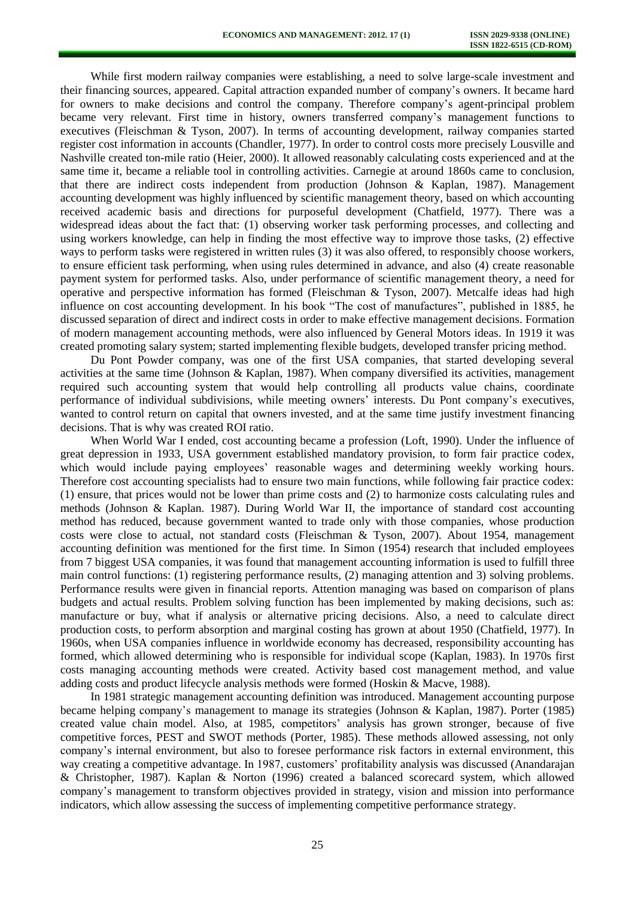While first modern railway companies were establishing, a need to solve large-scale investment and their financing sources, appeared. Capital attraction expanded number of company's owners. It became hard for owners to make decisions and control the company. Therefore company's agent-principal problem became very relevant. First time in history, owners transferred company's management functions to executives (Fleischman & Tyson, 2007). In terms of accounting development, railway companies started register cost information in accounts (Chandler, 1977). In order to control costs more precisely Lousville and Nashville created ton-mile ratio (Heier, 2000). It allowed reasonably calculating costs experienced and at the same time it, became a reliable tool in controlling activities. Carnegie at around 1860s came to conclusion, that there are indirect costs independent from production (Johnson & Kaplan, 1987). Management accounting development was highly influenced by scientific management theory, based on which accounting received academic basis and directions for purposeful development (Chatfield, 1977). There was a widespread ideas about the fact that: (1) observing worker task performing processes, and collecting and using workers knowledge, can help in finding the most effective way to improve those tasks, (2) effective ways to perform tasks were registered in written rules (3) it was also offered, to responsibly choose workers, to ensure efficient task performing, when using rules determined in advance, and also (4) create reasonable payment system for performed tasks. Also, under performance of scientific management theory, a need for operative and perspective information has formed (Fleischman & Tyson, 2007). Metcalfe ideas had high influence on cost accounting development. In his book "The cost of manufactures", published in 1885, he discussed separation of direct and indirect costs in order to make effective management decisions. Formation of modern management accounting methods, were also influenced by General Motors ideas. In 1919 it was created promoting salary system; started implementing flexible budgets, developed transfer pricing method.

Du Pont Powder company, was one of the first USA companies, that started developing several activities at the same time (Johnson & Kaplan, 1987). When company diversified its activities, management required such accounting system that would help controlling all products value chains, coordinate performance of individual subdivisions, while meeting owners' interests. Du Pont company's executives, wanted to control return on capital that owners invested, and at the same time justify investment financing decisions. That is why was created ROI ratio.

When World War I ended, cost accounting became a profession (Loft, 1990). Under the influence of great depression in 1933, USA government established mandatory provision, to form fair practice codex, which would include paying employees' reasonable wages and determining weekly working hours. Therefore cost accounting specialists had to ensure two main functions, while following fair practice codex: (1) ensure, that prices would not be lower than prime costs and (2) to harmonize costs calculating rules and methods (Johnson & Kaplan. 1987). During World War II, the importance of standard cost accounting method has reduced, because government wanted to trade only with those companies, whose production costs were close to actual, not standard costs (Fleischman & Tyson, 2007). About 1954, management accounting definition was mentioned for the first time. In Simon (1954) research that included employees from 7 biggest USA companies, it was found that management accounting information is used to fulfill three main control functions: (1) registering performance results, (2) managing attention and 3) solving problems. Performance results were given in financial reports. Attention managing was based on comparison of plans budgets and actual results. Problem solving function has been implemented by making decisions, such as: manufacture or buy, what if analysis or alternative pricing decisions. Also, a need to calculate direct production costs, to perform absorption and marginal costing has grown at about 1950 (Chatfield, 1977). In 1960s, when USA companies influence in worldwide economy has decreased, responsibility accounting has formed, which allowed determining who is responsible for individual scope (Kaplan, 1983). In 1970s first costs managing accounting methods were created. Activity based cost management method, and value adding costs and product lifecycle analysis methods were formed (Hoskin & Macve, 1988).

In 1981 strategic management accounting definition was introduced. Management accounting purpose became helping company's management to manage its strategies (Johnson & Kaplan, 1987). Porter (1985) created value chain model. Also, at 1985, competitors' analysis has grown stronger, because of five competitive forces, PEST and SWOT methods (Porter, 1985). These methods allowed assessing, not only company's internal environment, but also to foresee performance risk factors in external environment, this way creating a competitive advantage. In 1987, customers' profitability analysis was discussed (Anandarajan & Christopher, 1987). Kaplan & Norton (1996) created a balanced scorecard system, which allowed company's management to transform objectives provided in strategy, vision and mission into performance indicators, which allow assessing the success of implementing competitive performance strategy.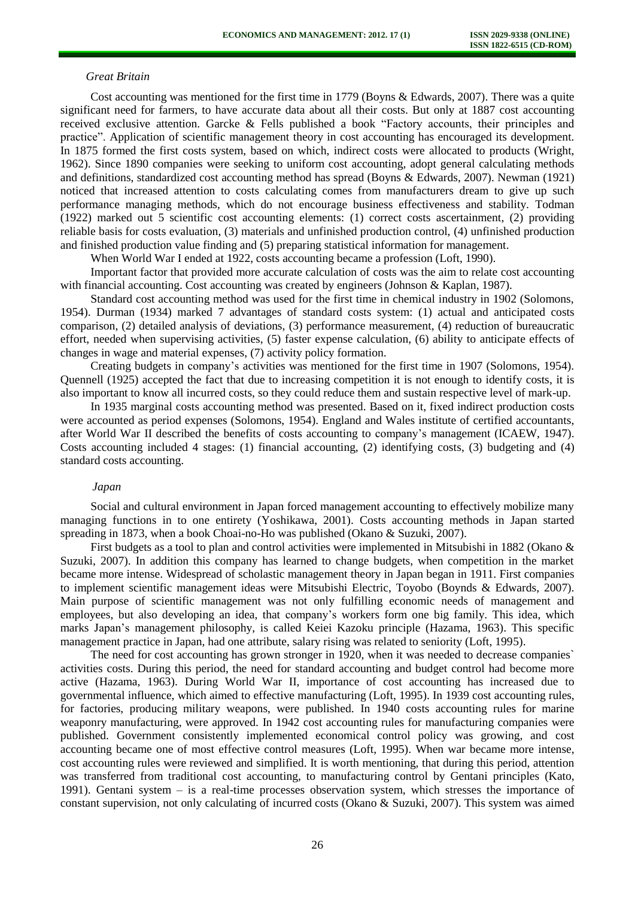#### *Great Britain*

Cost accounting was mentioned for the first time in 1779 (Boyns & Edwards, 2007). There was a quite significant need for farmers, to have accurate data about all their costs. But only at 1887 cost accounting received exclusive attention. Garcke & Fells published a book "Factory accounts, their principles and practice". Application of scientific management theory in cost accounting has encouraged its development. In 1875 formed the first costs system, based on which, indirect costs were allocated to products (Wright, 1962). Since 1890 companies were seeking to uniform cost accounting, adopt general calculating methods and definitions, standardized cost accounting method has spread (Boyns & Edwards, 2007). Newman (1921) noticed that increased attention to costs calculating comes from manufacturers dream to give up such performance managing methods, which do not encourage business effectiveness and stability. Todman (1922) marked out 5 scientific cost accounting elements: (1) correct costs ascertainment, (2) providing reliable basis for costs evaluation, (3) materials and unfinished production control, (4) unfinished production and finished production value finding and (5) preparing statistical information for management.

When World War I ended at 1922, costs accounting became a profession (Loft, 1990).

Important factor that provided more accurate calculation of costs was the aim to relate cost accounting with financial accounting. Cost accounting was created by engineers (Johnson & Kaplan, 1987).

Standard cost accounting method was used for the first time in chemical industry in 1902 (Solomons, 1954). Durman (1934) marked 7 advantages of standard costs system: (1) actual and anticipated costs comparison, (2) detailed analysis of deviations, (3) performance measurement, (4) reduction of bureaucratic effort, needed when supervising activities, (5) faster expense calculation, (6) ability to anticipate effects of changes in wage and material expenses, (7) activity policy formation.

Creating budgets in company's activities was mentioned for the first time in 1907 (Solomons, 1954). Quennell (1925) accepted the fact that due to increasing competition it is not enough to identify costs, it is also important to know all incurred costs, so they could reduce them and sustain respective level of mark-up.

In 1935 marginal costs accounting method was presented. Based on it, fixed indirect production costs were accounted as period expenses (Solomons, 1954). England and Wales institute of certified accountants, after World War II described the benefits of costs accounting to company's management (ICAEW, 1947). Costs accounting included 4 stages: (1) financial accounting, (2) identifying costs, (3) budgeting and (4) standard costs accounting.

#### *Japan*

Social and cultural environment in Japan forced management accounting to effectively mobilize many managing functions in to one entirety (Yoshikawa, 2001). Costs accounting methods in Japan started spreading in 1873, when a book Choai-no-Ho was published (Okano & Suzuki, 2007).

First budgets as a tool to plan and control activities were implemented in Mitsubishi in 1882 (Okano & Suzuki, 2007). In addition this company has learned to change budgets, when competition in the market became more intense. Widespread of scholastic management theory in Japan began in 1911. First companies to implement scientific management ideas were Mitsubishi Electric, Toyobo (Boynds & Edwards, 2007). Main purpose of scientific management was not only fulfilling economic needs of management and employees, but also developing an idea, that company's workers form one big family. This idea, which marks Japan's management philosophy, is called Keiei Kazoku principle (Hazama, 1963). This specific management practice in Japan, had one attribute, salary rising was related to seniority (Loft, 1995).

The need for cost accounting has grown stronger in 1920, when it was needed to decrease companies` activities costs. During this period, the need for standard accounting and budget control had become more active (Hazama, 1963). During World War II, importance of cost accounting has increased due to governmental influence, which aimed to effective manufacturing (Loft, 1995). In 1939 cost accounting rules, for factories, producing military weapons, were published. In 1940 costs accounting rules for marine weaponry manufacturing, were approved. In 1942 cost accounting rules for manufacturing companies were published. Government consistently implemented economical control policy was growing, and cost accounting became one of most effective control measures (Loft, 1995). When war became more intense, cost accounting rules were reviewed and simplified. It is worth mentioning, that during this period, attention was transferred from traditional cost accounting, to manufacturing control by Gentani principles (Kato, 1991). Gentani system – is a real-time processes observation system, which stresses the importance of constant supervision, not only calculating of incurred costs (Okano & Suzuki, 2007). This system was aimed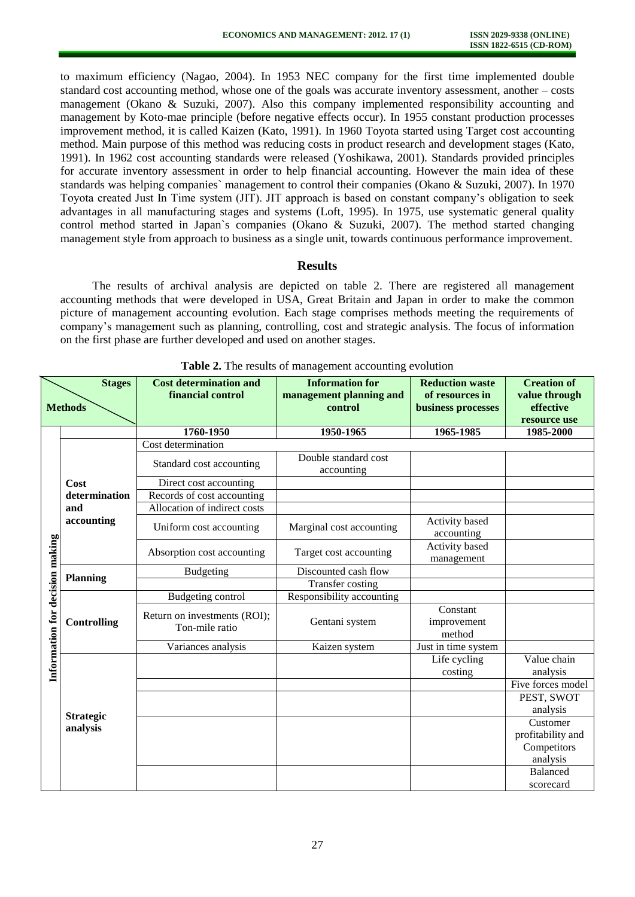to maximum efficiency (Nagao, 2004). In 1953 NEC company for the first time implemented double standard cost accounting method, whose one of the goals was accurate inventory assessment, another – costs management (Okano & Suzuki, 2007). Also this company implemented responsibility accounting and management by Koto-mae principle (before negative effects occur). In 1955 constant production processes improvement method, it is called Kaizen (Kato, 1991). In 1960 Toyota started using Target cost accounting method. Main purpose of this method was reducing costs in product research and development stages (Kato, 1991). In 1962 cost accounting standards were released (Yoshikawa, 2001). Standards provided principles for accurate inventory assessment in order to help financial accounting. However the main idea of these standards was helping companies` management to control their companies (Okano & Suzuki, 2007). In 1970 Toyota created Just In Time system (JIT). JIT approach is based on constant company's obligation to seek advantages in all manufacturing stages and systems (Loft, 1995). In 1975, use systematic general quality control method started in Japan`s companies (Okano & Suzuki, 2007). The method started changing management style from approach to business as a single unit, towards continuous performance improvement.

#### **Results**

The results of archival analysis are depicted on table 2. There are registered all management accounting methods that were developed in USA, Great Britain and Japan in order to make the common picture of management accounting evolution. Each stage comprises methods meeting the requirements of company's management such as planning, controlling, cost and strategic analysis. The focus of information on the first phase are further developed and used on another stages.

|                                 | <b>Stages</b><br><b>Methods</b> | <b>Cost determination and</b><br>financial control | <b>Information for</b><br>management planning and<br>control | <b>Reduction waste</b><br>of resources in<br>business processes | <b>Creation of</b><br>value through<br>effective<br>resource use |
|---------------------------------|---------------------------------|----------------------------------------------------|--------------------------------------------------------------|-----------------------------------------------------------------|------------------------------------------------------------------|
|                                 |                                 | 1760-1950                                          | 1950-1965                                                    | 1965-1985                                                       | 1985-2000                                                        |
|                                 |                                 | Cost determination                                 |                                                              |                                                                 |                                                                  |
|                                 |                                 | Standard cost accounting                           | Double standard cost<br>accounting                           |                                                                 |                                                                  |
|                                 | Cost                            | Direct cost accounting                             |                                                              |                                                                 |                                                                  |
|                                 | determination                   | Records of cost accounting                         |                                                              |                                                                 |                                                                  |
|                                 | and<br>accounting               | Allocation of indirect costs                       |                                                              |                                                                 |                                                                  |
|                                 |                                 | Uniform cost accounting                            | Marginal cost accounting                                     | Activity based<br>accounting                                    |                                                                  |
|                                 |                                 | Absorption cost accounting                         | Target cost accounting                                       | Activity based<br>management                                    |                                                                  |
|                                 | <b>Planning</b>                 | Budgeting                                          | Discounted cash flow                                         |                                                                 |                                                                  |
| Information for decision making |                                 |                                                    | <b>Transfer costing</b>                                      |                                                                 |                                                                  |
|                                 | <b>Controlling</b>              | Budgeting control                                  | Responsibility accounting                                    |                                                                 |                                                                  |
|                                 |                                 | Return on investments (ROI);<br>Ton-mile ratio     | Gentani system                                               | Constant<br>improvement<br>method                               |                                                                  |
|                                 |                                 | Variances analysis                                 | Kaizen system                                                | Just in time system                                             |                                                                  |
|                                 |                                 |                                                    |                                                              | Life cycling                                                    | Value chain                                                      |
|                                 | <b>Strategic</b><br>analysis    |                                                    |                                                              | costing                                                         | analysis                                                         |
|                                 |                                 |                                                    |                                                              |                                                                 | Five forces model                                                |
|                                 |                                 |                                                    |                                                              |                                                                 | PEST, SWOT                                                       |
|                                 |                                 |                                                    |                                                              |                                                                 | analysis                                                         |
|                                 |                                 |                                                    |                                                              |                                                                 | Customer                                                         |
|                                 |                                 |                                                    |                                                              |                                                                 | profitability and                                                |
|                                 |                                 |                                                    |                                                              |                                                                 | Competitors                                                      |
|                                 |                                 |                                                    |                                                              |                                                                 | analysis                                                         |
|                                 |                                 |                                                    |                                                              |                                                                 | Balanced                                                         |
|                                 |                                 |                                                    |                                                              |                                                                 | scorecard                                                        |

**Table 2.** The results of management accounting evolution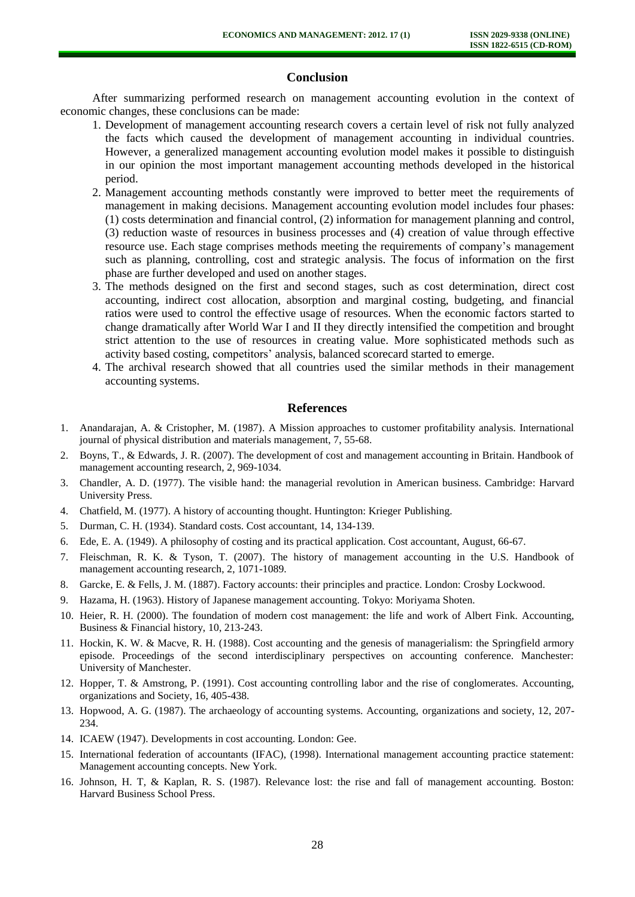## **Conclusion**

After summarizing performed research on management accounting evolution in the context of economic changes, these conclusions can be made:

- 1. Development of management accounting research covers a certain level of risk not fully analyzed the facts which caused the development of management accounting in individual countries. However, a generalized management accounting evolution model makes it possible to distinguish in our opinion the most important management accounting methods developed in the historical period.
- 2. Management accounting methods constantly were improved to better meet the requirements of management in making decisions. Management accounting evolution model includes four phases: (1) costs determination and financial control, (2) information for management planning and control, (3) reduction waste of resources in business processes and (4) creation of value through effective resource use. Each stage comprises methods meeting the requirements of company's management such as planning, controlling, cost and strategic analysis. The focus of information on the first phase are further developed and used on another stages.
- 3. The methods designed on the first and second stages, such as cost determination, direct cost accounting, indirect cost allocation, absorption and marginal costing, budgeting, and financial ratios were used to control the effective usage of resources. When the economic factors started to change dramatically after World War I and II they directly intensified the competition and brought strict attention to the use of resources in creating value. More sophisticated methods such as activity based costing, competitors' analysis, balanced scorecard started to emerge.
- 4. The archival research showed that all countries used the similar methods in their management accounting systems.

#### **References**

- 1. Anandarajan, A. & Cristopher, M. (1987). A Mission approaches to customer profitability analysis. International journal of physical distribution and materials management, 7, 55-68.
- 2. Boyns, T., & Edwards, J. R. (2007). The development of cost and management accounting in Britain. Handbook of management accounting research, 2, 969-1034.
- 3. Chandler, A. D. (1977). The visible hand: the managerial revolution in American business. Cambridge: Harvard University Press.
- 4. Chatfield, M. (1977). A history of accounting thought. Huntington: Krieger Publishing.
- 5. Durman, C. H. (1934). Standard costs. Cost accountant, 14, 134-139.
- 6. Ede, E. A. (1949). A philosophy of costing and its practical application. Cost accountant, August, 66-67.
- 7. Fleischman, R. K. & Tyson, T. (2007). The history of management accounting in the U.S. Handbook of management accounting research, 2, 1071-1089.
- 8. Garcke, E. & Fells, J. M. (1887). Factory accounts: their principles and practice. London: Crosby Lockwood.
- 9. Hazama, H. (1963). History of Japanese management accounting. Tokyo: Moriyama Shoten.
- 10. Heier, R. H. (2000). The foundation of modern cost management: the life and work of Albert Fink. Accounting, Business & Financial history, 10, 213-243.
- 11. Hockin, K. W. & Macve, R. H. (1988). Cost accounting and the genesis of managerialism: the Springfield armory episode. Proceedings of the second interdisciplinary perspectives on accounting conference. Manchester: University of Manchester.
- 12. Hopper, T. & Amstrong, P. (1991). Cost accounting controlling labor and the rise of conglomerates. Accounting, organizations and Society, 16, 405-438.
- 13. Hopwood, A. G. (1987). The archaeology of accounting systems. Accounting, organizations and society, 12, 207- 234.
- 14. ICAEW (1947). Developments in cost accounting. London: Gee.
- 15. International federation of accountants (IFAC), (1998). International management accounting practice statement: Management accounting concepts. New York.
- 16. Johnson, H. T, & Kaplan, R. S. (1987). Relevance lost: the rise and fall of management accounting. Boston: Harvard Business School Press.